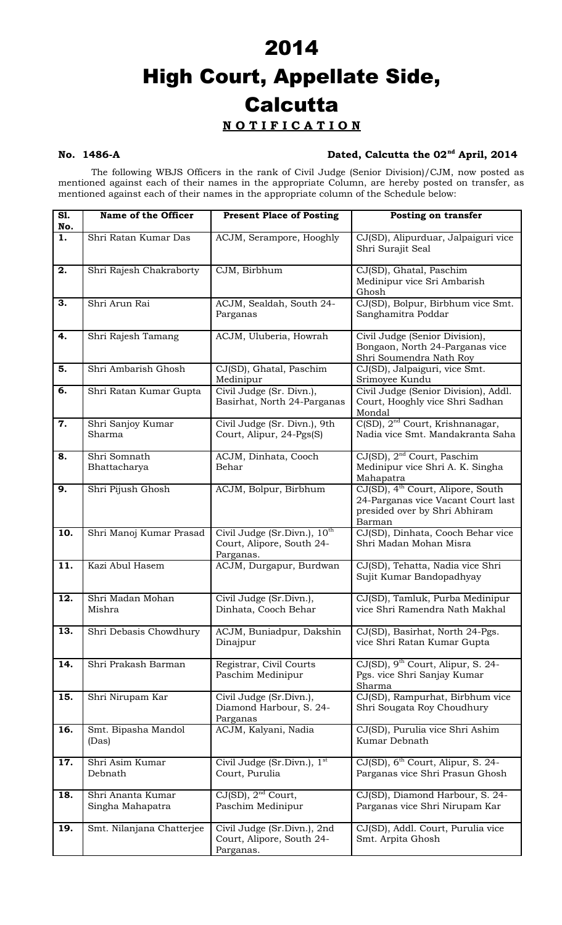## 2014 High Court, Appellate Side, **Calcutta N O T I F I C A T I O N**

### **No. 1486-A Dated, Calcutta the 02nd April, 2014**

The following WBJS Officers in the rank of Civil Judge (Senior Division)/CJM, now posted as mentioned against each of their names in the appropriate Column, are hereby posted on transfer, as mentioned against each of their names in the appropriate column of the Schedule below:

| S1.<br>No. | Name of the Officer                   | <b>Present Place of Posting</b>                                                    | <b>Posting on transfer</b>                                                                                                     |
|------------|---------------------------------------|------------------------------------------------------------------------------------|--------------------------------------------------------------------------------------------------------------------------------|
| 1.         | Shri Ratan Kumar Das                  | ACJM, Serampore, Hooghly                                                           | CJ(SD), Alipurduar, Jalpaiguri vice<br>Shri Surajit Seal                                                                       |
| 2.         | Shri Rajesh Chakraborty               | CJM, Birbhum                                                                       | CJ(SD), Ghatal, Paschim<br>Medinipur vice Sri Ambarish<br>Ghosh                                                                |
| 3.         | Shri Arun Rai                         | ACJM, Sealdah, South 24-<br>Parganas                                               | CJ(SD), Bolpur, Birbhum vice Smt.<br>Sanghamitra Poddar                                                                        |
| 4.         | Shri Rajesh Tamang                    | ACJM, Uluberia, Howrah                                                             | Civil Judge (Senior Division),<br>Bongaon, North 24-Parganas vice<br>Shri Soumendra Nath Roy                                   |
| 5.         | Shri Ambarish Ghosh                   | CJ(SD), Ghatal, Paschim<br>Medinipur                                               | CJ(SD), Jalpaiguri, vice Smt.<br>Srimoyee Kundu                                                                                |
| 6.         | Shri Ratan Kumar Gupta                | Civil Judge (Sr. Divn.),<br>Basirhat, North 24-Parganas                            | Civil Judge (Senior Division), Addl.<br>Court, Hooghly vice Shri Sadhan<br>Mondal                                              |
| 7.         | Shri Sanjoy Kumar<br>Sharma           | Civil Judge (Sr. Divn.), 9th<br>Court, Alipur, 24-Pgs(S)                           | $C(SD)$ , $2nd$ Court, Krishnanagar,<br>Nadia vice Smt. Mandakranta Saha                                                       |
| 8.         | Shri Somnath<br>Bhattacharya          | ACJM, Dinhata, Cooch<br>Behar                                                      | CJ(SD), 2 <sup>nd</sup> Court, Paschim<br>Medinipur vice Shri A. K. Singha<br>Mahapatra                                        |
| 9.         | Shri Pijush Ghosh                     | ACJM, Bolpur, Birbhum                                                              | CJ(SD), 4 <sup>th</sup> Court, Alipore, South<br>24-Parganas vice Vacant Court last<br>presided over by Shri Abhiram<br>Barman |
| 10.        | Shri Manoj Kumar Prasad               | Civil Judge (Sr.Divn.), 10 <sup>th</sup><br>Court, Alipore, South 24-<br>Parganas. | CJ(SD), Dinhata, Cooch Behar vice<br>Shri Madan Mohan Misra                                                                    |
| 11.        | Kazi Abul Hasem                       | ACJM, Durgapur, Burdwan                                                            | CJ(SD), Tehatta, Nadia vice Shri<br>Sujit Kumar Bandopadhyay                                                                   |
| 12.        | Shri Madan Mohan<br>Mishra            | Civil Judge (Sr.Divn.),<br>Dinhata, Cooch Behar                                    | CJ(SD), Tamluk, Purba Medinipur<br>vice Shri Ramendra Nath Makhal                                                              |
| 13.        | Shri Debasis Chowdhury                | ACJM, Buniadpur, Dakshin<br>Dinajpur                                               | CJ(SD), Basirhat, North 24-Pgs.<br>vice Shri Ratan Kumar Gupta                                                                 |
| 14.        | Shri Prakash Barman                   | Registrar, Civil Courts<br>Paschim Medinipur                                       | CJ(SD), 9 <sup>th</sup> Court, Alipur, S. 24-<br>Pgs. vice Shri Sanjay Kumar<br>Sharma                                         |
| 15.        | Shri Nirupam Kar                      | Civil Judge (Sr.Divn.),<br>Diamond Harbour, S. 24-<br>Parganas                     | CJ(SD), Rampurhat, Birbhum vice<br>Shri Sougata Roy Choudhury                                                                  |
| 16.        | Smt. Bipasha Mandol<br>(Das)          | ACJM, Kalyani, Nadia                                                               | CJ(SD), Purulia vice Shri Ashim<br>Kumar Debnath                                                                               |
| 17.        | Shri Asim Kumar<br>Debnath            | Civil Judge (Sr.Divn.), 1 <sup>st</sup><br>Court, Purulia                          | CJ(SD), 6 <sup>th</sup> Court, Alipur, S. 24-<br>Parganas vice Shri Prasun Ghosh                                               |
| 18.        | Shri Ananta Kumar<br>Singha Mahapatra | $CJ(SD)$ , $2nd$ Court,<br>Paschim Medinipur                                       | CJ(SD), Diamond Harbour, S. 24-<br>Parganas vice Shri Nirupam Kar                                                              |
| 19.        | Smt. Nilanjana Chatterjee             | Civil Judge (Sr.Divn.), 2nd<br>Court, Alipore, South 24-<br>Parganas.              | CJ(SD), Addl. Court, Purulia vice<br>Smt. Arpita Ghosh                                                                         |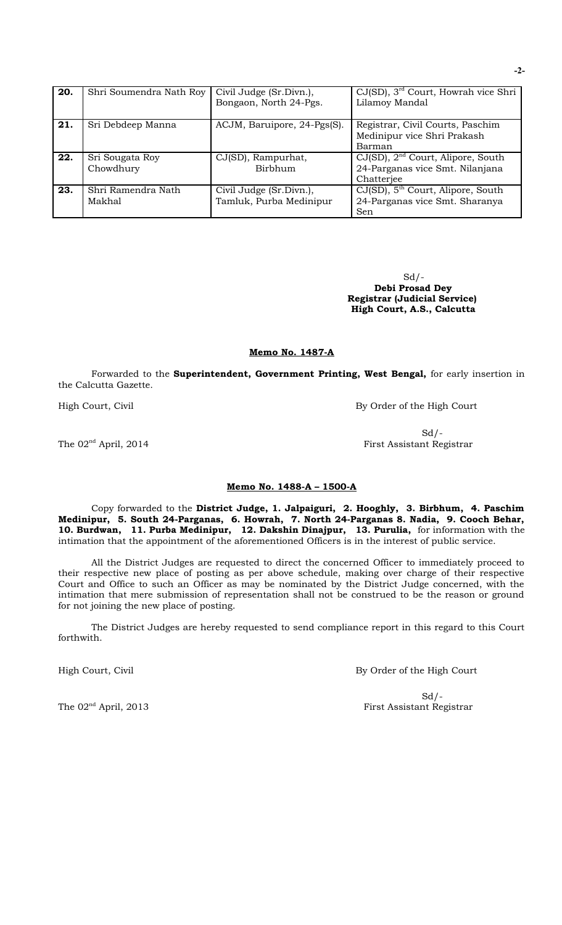| 20. | Shri Soumendra Nath Roy | Civil Judge (Sr.Divn.),     | $CJ(SD)$ , $3rd$ Court, Howrah vice Shri      |
|-----|-------------------------|-----------------------------|-----------------------------------------------|
|     |                         | Bongaon, North 24-Pgs.      | Lilamoy Mandal                                |
| 21. | Sri Debdeep Manna       | ACJM, Baruipore, 24-Pgs(S). | Registrar, Civil Courts, Paschim              |
|     |                         |                             | Medinipur vice Shri Prakash                   |
|     |                         |                             | Barman                                        |
| 22. | Sri Sougata Roy         | CJ(SD), Rampurhat,          | $CJ(SD)$ , $2nd$ Court, Alipore, South        |
|     | Chowdhury               | Birbhum                     | 24-Parganas vice Smt. Nilanjana               |
|     |                         |                             | Chatterjee                                    |
| 23. | Shri Ramendra Nath      | Civil Judge (Sr.Divn.),     | CJ(SD), 5 <sup>th</sup> Court, Alipore, South |
|     | Makhal                  | Tamluk, Purba Medinipur     | 24-Parganas vice Smt. Sharanya                |
|     |                         |                             | Sen                                           |

 $Sd$  /- **Debi Prosad Dey Registrar (Judicial Service) High Court, A.S., Calcutta**

#### **Memo No. 1487-A**

Forwarded to the **Superintendent, Government Printing, West Bengal,** for early insertion in the Calcutta Gazette.

High Court, Civil **By Order of the High Court** 

 $Sd$  /-The 02<sup>nd</sup> April, 2014 First Assistant Registrar

#### **Memo No. 1488-A – 1500-A**

Copy forwarded to the **District Judge, 1. Jalpaiguri, 2. Hooghly, 3. Birbhum, 4. Paschim Medinipur, 5. South 24-Parganas, 6. Howrah, 7. North 24-Parganas 8. Nadia, 9. Cooch Behar, 10. Burdwan, 11. Purba Medinipur, 12. Dakshin Dinajpur, 13. Purulia,** for information with the intimation that the appointment of the aforementioned Officers is in the interest of public service.

All the District Judges are requested to direct the concerned Officer to immediately proceed to their respective new place of posting as per above schedule, making over charge of their respective Court and Office to such an Officer as may be nominated by the District Judge concerned, with the intimation that mere submission of representation shall not be construed to be the reason or ground for not joining the new place of posting.

The District Judges are hereby requested to send compliance report in this regard to this Court forthwith.

High Court, Civil **By Order of the High Court** 

 $Sd$  /-The 02<sup>nd</sup> April, 2013 First Assistant Registrar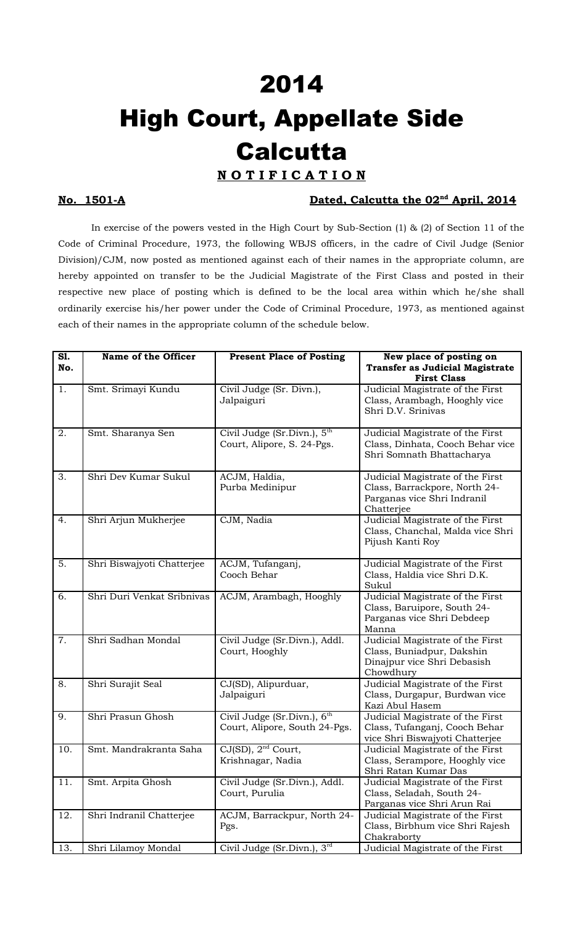# 2014 High Court, Appellate Side **Calcutta**

## **N O T I F I C A T I O N**

### **No. 1501-A Dated, Calcutta the 02<sup>nd</sup> April, 2014**

In exercise of the powers vested in the High Court by Sub-Section (1) & (2) of Section 11 of the Code of Criminal Procedure, 1973, the following WBJS officers, in the cadre of Civil Judge (Senior Division)/CJM, now posted as mentioned against each of their names in the appropriate column, are hereby appointed on transfer to be the Judicial Magistrate of the First Class and posted in their respective new place of posting which is defined to be the local area within which he/she shall ordinarily exercise his/her power under the Code of Criminal Procedure, 1973, as mentioned against each of their names in the appropriate column of the schedule below.

| S1.<br>No. | Name of the Officer        | <b>Present Place of Posting</b>                                          | New place of posting on<br><b>Transfer as Judicial Magistrate</b>                                              |
|------------|----------------------------|--------------------------------------------------------------------------|----------------------------------------------------------------------------------------------------------------|
|            |                            |                                                                          | <b>First Class</b>                                                                                             |
| 1.         | Smt. Srimayi Kundu         | Civil Judge (Sr. Divn.),<br>Jalpaiguri                                   | Judicial Magistrate of the First<br>Class, Arambagh, Hooghly vice<br>Shri D.V. Srinivas                        |
| 2.         | Smt. Sharanya Sen          | Civil Judge (Sr. Divn.), $5th$<br>Court, Alipore, S. 24-Pgs.             | Judicial Magistrate of the First<br>Class, Dinhata, Cooch Behar vice<br>Shri Somnath Bhattacharya              |
| 3.         | Shri Dev Kumar Sukul       | ACJM, Haldia,<br>Purba Medinipur                                         | Judicial Magistrate of the First<br>Class, Barrackpore, North 24-<br>Parganas vice Shri Indranil<br>Chatterjee |
| 4.         | Shri Arjun Mukherjee       | CJM, Nadia                                                               | Judicial Magistrate of the First<br>Class, Chanchal, Malda vice Shri<br>Pijush Kanti Roy                       |
| 5.         | Shri Biswajyoti Chatterjee | ACJM, Tufanganj,<br>Cooch Behar                                          | Judicial Magistrate of the First<br>Class, Haldia vice Shri D.K.<br>Sukul                                      |
| 6.         | Shri Duri Venkat Sribnivas | ACJM, Arambagh, Hooghly                                                  | Judicial Magistrate of the First<br>Class, Baruipore, South 24-<br>Parganas vice Shri Debdeep<br>Manna         |
| 7.         | Shri Sadhan Mondal         | Civil Judge (Sr.Divn.), Addl.<br>Court, Hooghly                          | Judicial Magistrate of the First<br>Class, Buniadpur, Dakshin<br>Dinajpur vice Shri Debasish<br>Chowdhury      |
| 8.         | Shri Surajit Seal          | CJ(SD), Alipurduar,<br>Jalpaiguri                                        | Judicial Magistrate of the First<br>Class, Durgapur, Burdwan vice<br>Kazi Abul Hasem                           |
| 9.         | Shri Prasun Ghosh          | Civil Judge (Sr.Divn.), 6 <sup>th</sup><br>Court, Alipore, South 24-Pgs. | Judicial Magistrate of the First<br>Class, Tufanganj, Cooch Behar<br>vice Shri Biswajyoti Chatterjee           |
| 10.        | Smt. Mandrakranta Saha     | CJ(SD), 2 <sup>nd</sup> Court,<br>Krishnagar, Nadia                      | Judicial Magistrate of the First<br>Class, Serampore, Hooghly vice<br>Shri Ratan Kumar Das                     |
| 11.        | Smt. Arpita Ghosh          | Civil Judge (Sr.Divn.), Addl.<br>Court, Purulia                          | Judicial Magistrate of the First<br>Class, Seladah, South 24-<br>Parganas vice Shri Arun Rai                   |
| 12.        | Shri Indranil Chatterjee   | ACJM, Barrackpur, North 24-<br>Pgs.                                      | Judicial Magistrate of the First<br>Class, Birbhum vice Shri Rajesh<br>Chakraborty                             |
| 13.        | Shri Lilamoy Mondal        | Civil Judge $(Sr.Divn.)$ , $3rd$                                         | Judicial Magistrate of the First                                                                               |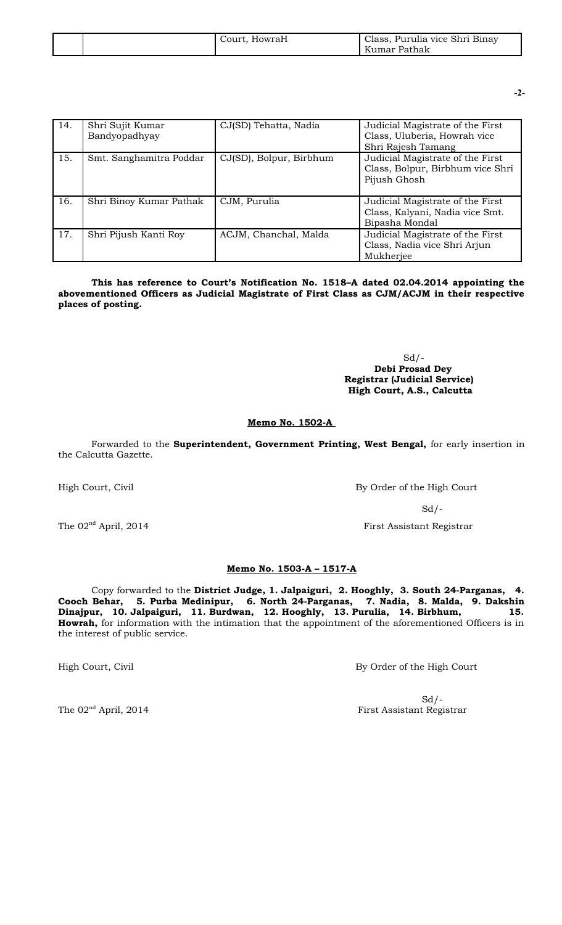|  | HowraH<br>Court. | Class, Purulia vice Shri Binay<br>Kumar Pathak |
|--|------------------|------------------------------------------------|
|--|------------------|------------------------------------------------|

**-2-**

| 14. | Shri Sujit Kumar<br>Bandyopadhyay | CJ(SD) Tehatta, Nadia   | Judicial Magistrate of the First<br>Class, Uluberia, Howrah vice<br>Shri Rajesh Tamang |
|-----|-----------------------------------|-------------------------|----------------------------------------------------------------------------------------|
| 15. | Smt. Sanghamitra Poddar           | CJ(SD), Bolpur, Birbhum | Judicial Magistrate of the First<br>Class, Bolpur, Birbhum vice Shri<br>Pijush Ghosh   |
| 16. | Shri Binoy Kumar Pathak           | CJM, Purulia            | Judicial Magistrate of the First<br>Class, Kalyani, Nadia vice Smt.<br>Bipasha Mondal  |
| 17. | Shri Pijush Kanti Roy             | ACJM, Chanchal, Malda   | Judicial Magistrate of the First<br>Class, Nadia vice Shri Arjun<br>Mukherjee          |

**This has reference to Court's Notification No. 1518–A dated 02.04.2014 appointing the abovementioned Officers as Judicial Magistrate of First Class as CJM/ACJM in their respective places of posting.** 

> $Sd$  /- **Debi Prosad Dey Registrar (Judicial Service) High Court, A.S., Calcutta**

#### **Memo No. 1502-A**

Forwarded to the **Superintendent, Government Printing, West Bengal,** for early insertion in the Calcutta Gazette.

High Court, Civil By Order of the High Court

 $Sd$  /-

The  $02<sup>nd</sup>$  April, 2014 **First Assistant Registrar** 

#### **Memo No. 1503-A – 1517-A**

Copy forwarded to the **District Judge, 1. Jalpaiguri, 2. Hooghly, 3. South 24-Parganas, 4. Cooch Behar, 5. Purba Medinipur, 6. North 24-Parganas, 7. Nadia, 8. Malda, 9. Dakshin Dinajpur, 10. Jalpaiguri, 11. Burdwan, 12. Hooghly, 13. Purulia, 14. Birbhum, 15. Howrah,** for information with the intimation that the appointment of the aforementioned Officers is in the interest of public service.

High Court, Civil **By Order of the High Court** 

 $Sd$  /-The 02<sup>nd</sup> April, 2014 **First Assistant Registrar**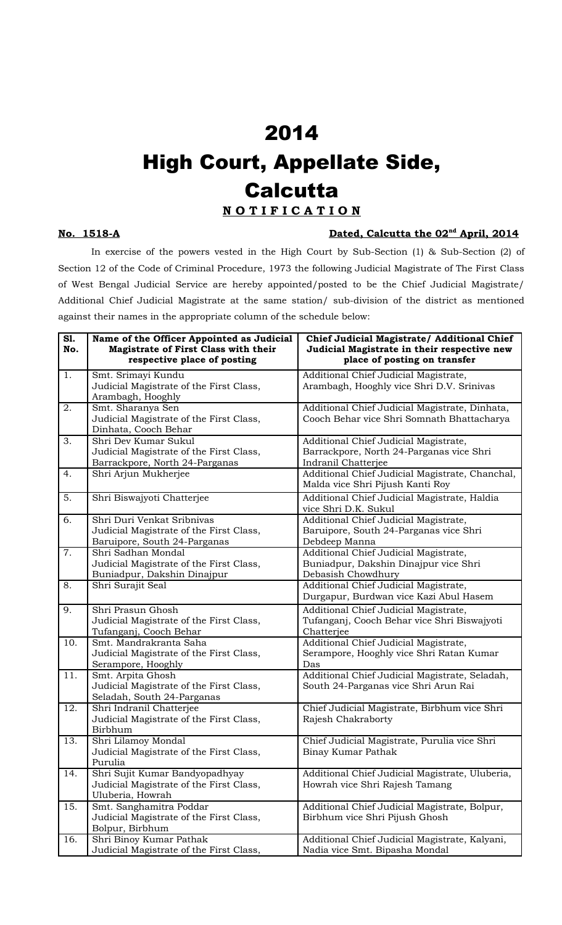## 2014 High Court, Appellate Side, **Calcutta**

### **N O T I F I C A T I O N**

#### **No.** 1518-A **Dated, Calcutta the 02<sup>nd</sup> April, 2014**

In exercise of the powers vested in the High Court by Sub-Section (1) & Sub-Section (2) of Section 12 of the Code of Criminal Procedure, 1973 the following Judicial Magistrate of The First Class of West Bengal Judicial Service are hereby appointed/posted to be the Chief Judicial Magistrate/ Additional Chief Judicial Magistrate at the same station/ sub-division of the district as mentioned against their names in the appropriate column of the schedule below:

| S1.<br>No.       | Name of the Officer Appointed as Judicial<br>Magistrate of First Class with their<br>respective place of posting | Chief Judicial Magistrate/ Additional Chief<br>Judicial Magistrate in their respective new<br>place of posting on transfer |
|------------------|------------------------------------------------------------------------------------------------------------------|----------------------------------------------------------------------------------------------------------------------------|
| 1.               | Smt. Srimayi Kundu<br>Judicial Magistrate of the First Class,<br>Arambagh, Hooghly                               | Additional Chief Judicial Magistrate,<br>Arambagh, Hooghly vice Shri D.V. Srinivas                                         |
| 2.               | Smt. Sharanya Sen<br>Judicial Magistrate of the First Class,<br>Dinhata, Cooch Behar                             | Additional Chief Judicial Magistrate, Dinhata,<br>Cooch Behar vice Shri Somnath Bhattacharya                               |
| 3.               | Shri Dev Kumar Sukul<br>Judicial Magistrate of the First Class,<br>Barrackpore, North 24-Parganas                | Additional Chief Judicial Magistrate,<br>Barrackpore, North 24-Parganas vice Shri<br>Indranil Chatterjee                   |
| 4.               | Shri Arjun Mukherjee                                                                                             | Additional Chief Judicial Magistrate, Chanchal,<br>Malda vice Shri Pijush Kanti Roy                                        |
| 5.               | Shri Biswajyoti Chatterjee                                                                                       | Additional Chief Judicial Magistrate, Haldia<br>vice Shri D.K. Sukul                                                       |
| 6.               | Shri Duri Venkat Sribnivas<br>Judicial Magistrate of the First Class,<br>Baruipore, South 24-Parganas            | Additional Chief Judicial Magistrate,<br>Baruipore, South 24-Parganas vice Shri<br>Debdeep Manna                           |
| $\overline{7}$ . | Shri Sadhan Mondal<br>Judicial Magistrate of the First Class,<br>Buniadpur, Dakshin Dinajpur                     | Additional Chief Judicial Magistrate,<br>Buniadpur, Dakshin Dinajpur vice Shri<br>Debasish Chowdhury                       |
| 8.               | Shri Surajit Seal                                                                                                | Additional Chief Judicial Magistrate,<br>Durgapur, Burdwan vice Kazi Abul Hasem                                            |
| 9.               | Shri Prasun Ghosh<br>Judicial Magistrate of the First Class,<br>Tufanganj, Cooch Behar                           | Additional Chief Judicial Magistrate,<br>Tufanganj, Cooch Behar vice Shri Biswajyoti<br>Chatterjee                         |
| 10.              | Smt. Mandrakranta Saha<br>Judicial Magistrate of the First Class,<br>Serampore, Hooghly                          | Additional Chief Judicial Magistrate,<br>Serampore, Hooghly vice Shri Ratan Kumar<br>Das                                   |
| 11.              | Smt. Arpita Ghosh<br>Judicial Magistrate of the First Class,<br>Seladah, South 24-Parganas                       | Additional Chief Judicial Magistrate, Seladah,<br>South 24-Parganas vice Shri Arun Rai                                     |
| 12.              | Shri Indranil Chatterjee<br>Judicial Magistrate of the First Class,<br>Birbhum                                   | Chief Judicial Magistrate, Birbhum vice Shri<br>Rajesh Chakraborty                                                         |
| 13.              | Shri Lilamoy Mondal<br>Judicial Magistrate of the First Class,<br>Purulia                                        | Chief Judicial Magistrate, Purulia vice Shri<br>Binay Kumar Pathak                                                         |
| 14.              | Shri Sujit Kumar Bandyopadhyay<br>Judicial Magistrate of the First Class,<br>Uluberia, Howrah                    | Additional Chief Judicial Magistrate, Uluberia,<br>Howrah vice Shri Rajesh Tamang                                          |
| 15.              | Smt. Sanghamitra Poddar<br>Judicial Magistrate of the First Class,<br>Bolpur, Birbhum                            | Additional Chief Judicial Magistrate, Bolpur,<br>Birbhum vice Shri Pijush Ghosh                                            |
| 16.              | Shri Binoy Kumar Pathak<br>Judicial Magistrate of the First Class,                                               | Additional Chief Judicial Magistrate, Kalyani,<br>Nadia vice Smt. Bipasha Mondal                                           |